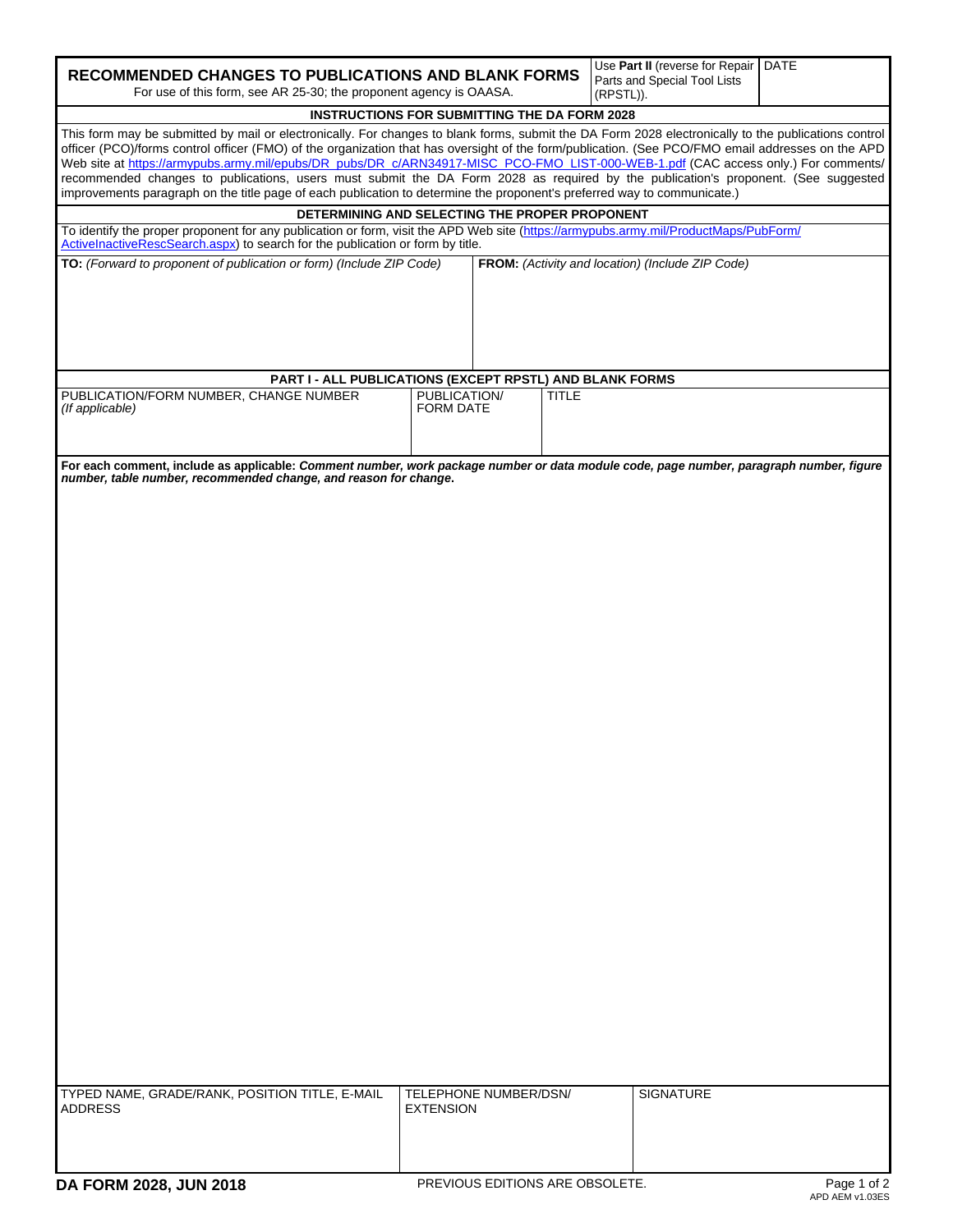| <b>RECOMMENDED CHANGES TO PUBLICATIONS AND BLANK FORMS</b><br>For use of this form, see AR 25-30; the proponent agency is OAASA.                                                                                                                                                                                                                                                                                                                                                                                                                                                                                                                                                                                  |                                           | Use Part II (reverse for Repair   DATE<br>Parts and Special Tool Lists<br>(RPSTL)). |                                                  |  |  |  |  |  |
|-------------------------------------------------------------------------------------------------------------------------------------------------------------------------------------------------------------------------------------------------------------------------------------------------------------------------------------------------------------------------------------------------------------------------------------------------------------------------------------------------------------------------------------------------------------------------------------------------------------------------------------------------------------------------------------------------------------------|-------------------------------------------|-------------------------------------------------------------------------------------|--------------------------------------------------|--|--|--|--|--|
| <b>INSTRUCTIONS FOR SUBMITTING THE DA FORM 2028</b>                                                                                                                                                                                                                                                                                                                                                                                                                                                                                                                                                                                                                                                               |                                           |                                                                                     |                                                  |  |  |  |  |  |
| This form may be submitted by mail or electronically. For changes to blank forms, submit the DA Form 2028 electronically to the publications control<br>officer (PCO)/forms control officer (FMO) of the organization that has oversight of the form/publication. (See PCO/FMO email addresses on the APD<br>Web site at https://armypubs.army.mil/epubs/DR_pubs/DR_c/ARN34917-MISC_PCO-FMO_LIST-000-WEB-1.pdf (CAC access only.) For comments/<br>recommended changes to publications, users must submit the DA Form 2028 as required by the publication's proponent. (See suggested<br>improvements paragraph on the title page of each publication to determine the proponent's preferred way to communicate.) |                                           |                                                                                     |                                                  |  |  |  |  |  |
| DETERMINING AND SELECTING THE PROPER PROPONENT                                                                                                                                                                                                                                                                                                                                                                                                                                                                                                                                                                                                                                                                    |                                           |                                                                                     |                                                  |  |  |  |  |  |
| To identify the proper proponent for any publication or form, visit the APD Web site (https://armypubs.army.mil/ProductMaps/PubForm/<br>ActivelnactiveRescSearch.aspx) to search for the publication or form by title.                                                                                                                                                                                                                                                                                                                                                                                                                                                                                            |                                           |                                                                                     |                                                  |  |  |  |  |  |
| TO: (Forward to proponent of publication or form) (Include ZIP Code)                                                                                                                                                                                                                                                                                                                                                                                                                                                                                                                                                                                                                                              |                                           |                                                                                     | FROM: (Activity and location) (Include ZIP Code) |  |  |  |  |  |
| PART I - ALL PUBLICATIONS (EXCEPT RPSTL) AND BLANK FORMS                                                                                                                                                                                                                                                                                                                                                                                                                                                                                                                                                                                                                                                          |                                           |                                                                                     |                                                  |  |  |  |  |  |
| PUBLICATION/FORM NUMBER, CHANGE NUMBER<br>(If applicable)                                                                                                                                                                                                                                                                                                                                                                                                                                                                                                                                                                                                                                                         | PUBLICATION/<br><b>FORM DATE</b>          | <b>TITLE</b>                                                                        |                                                  |  |  |  |  |  |
| For each comment, include as applicable: Comment number, work package number or data module code, page number, paragraph number, figure<br>number, table number, recommended change, and reason for change.                                                                                                                                                                                                                                                                                                                                                                                                                                                                                                       |                                           |                                                                                     |                                                  |  |  |  |  |  |
|                                                                                                                                                                                                                                                                                                                                                                                                                                                                                                                                                                                                                                                                                                                   |                                           |                                                                                     |                                                  |  |  |  |  |  |
|                                                                                                                                                                                                                                                                                                                                                                                                                                                                                                                                                                                                                                                                                                                   |                                           |                                                                                     |                                                  |  |  |  |  |  |
|                                                                                                                                                                                                                                                                                                                                                                                                                                                                                                                                                                                                                                                                                                                   |                                           |                                                                                     |                                                  |  |  |  |  |  |
|                                                                                                                                                                                                                                                                                                                                                                                                                                                                                                                                                                                                                                                                                                                   |                                           |                                                                                     |                                                  |  |  |  |  |  |
|                                                                                                                                                                                                                                                                                                                                                                                                                                                                                                                                                                                                                                                                                                                   |                                           |                                                                                     |                                                  |  |  |  |  |  |
|                                                                                                                                                                                                                                                                                                                                                                                                                                                                                                                                                                                                                                                                                                                   |                                           |                                                                                     |                                                  |  |  |  |  |  |
|                                                                                                                                                                                                                                                                                                                                                                                                                                                                                                                                                                                                                                                                                                                   |                                           |                                                                                     |                                                  |  |  |  |  |  |
|                                                                                                                                                                                                                                                                                                                                                                                                                                                                                                                                                                                                                                                                                                                   |                                           |                                                                                     |                                                  |  |  |  |  |  |
|                                                                                                                                                                                                                                                                                                                                                                                                                                                                                                                                                                                                                                                                                                                   |                                           |                                                                                     |                                                  |  |  |  |  |  |
|                                                                                                                                                                                                                                                                                                                                                                                                                                                                                                                                                                                                                                                                                                                   |                                           |                                                                                     |                                                  |  |  |  |  |  |
|                                                                                                                                                                                                                                                                                                                                                                                                                                                                                                                                                                                                                                                                                                                   |                                           |                                                                                     |                                                  |  |  |  |  |  |
|                                                                                                                                                                                                                                                                                                                                                                                                                                                                                                                                                                                                                                                                                                                   |                                           |                                                                                     |                                                  |  |  |  |  |  |
| TYPED NAME, GRADE/RANK, POSITION TITLE, E-MAIL<br><b>ADDRESS</b>                                                                                                                                                                                                                                                                                                                                                                                                                                                                                                                                                                                                                                                  | TELEPHONE NUMBER/DSN/<br><b>EXTENSION</b> |                                                                                     | <b>SIGNATURE</b>                                 |  |  |  |  |  |